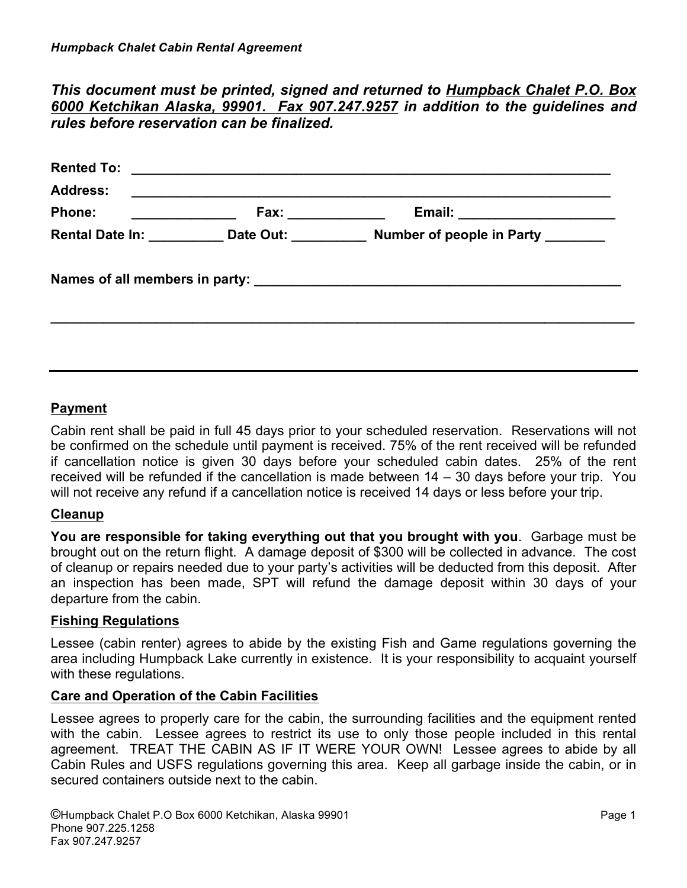# *This document must be printed, signed and returned to Humpback Chalet P.O. Box 6000 Ketchikan Alaska, 99901. Fax 907.247.9257 in addition to the guidelines and rules before reservation can be finalized.*

| <u> 1980 - Andrea Andrew Maria (h. 1980).</u> |                                                                                                                                    |
|-----------------------------------------------|------------------------------------------------------------------------------------------------------------------------------------|
|                                               | Email: _______________________                                                                                                     |
|                                               | Number of people in Party _______                                                                                                  |
|                                               |                                                                                                                                    |
|                                               | Fax: ______________<br><u> 1989 - Johann Barbara, martin d</u><br>Date Out: <b>Example</b><br><b>Rental Date In:</b> Neuronal Base |

## **Payment**

Cabin rent shall be paid in full 45 days prior to your scheduled reservation. Reservations will not be confirmed on the schedule until payment is received. 75% of the rent received will be refunded if cancellation notice is given 30 days before your scheduled cabin dates. 25% of the rent received will be refunded if the cancellation is made between 14 – 30 days before your trip. You will not receive any refund if a cancellation notice is received 14 days or less before your trip.

### **Cleanup**

**You are responsible for taking everything out that you brought with you**. Garbage must be brought out on the return flight. A damage deposit of \$300 will be collected in advance. The cost of cleanup or repairs needed due to your party's activities will be deducted from this deposit. After an inspection has been made, SPT will refund the damage deposit within 30 days of your departure from the cabin.

#### **Fishing Regulations**

Lessee (cabin renter) agrees to abide by the existing Fish and Game regulations governing the area including Humpback Lake currently in existence. It is your responsibility to acquaint yourself with these regulations.

#### **Care and Operation of the Cabin Facilities**

Lessee agrees to properly care for the cabin, the surrounding facilities and the equipment rented with the cabin. Lessee agrees to restrict its use to only those people included in this rental agreement. TREAT THE CABIN AS IF IT WERE YOUR OWN! Lessee agrees to abide by all Cabin Rules and USFS regulations governing this area. Keep all garbage inside the cabin, or in secured containers outside next to the cabin.